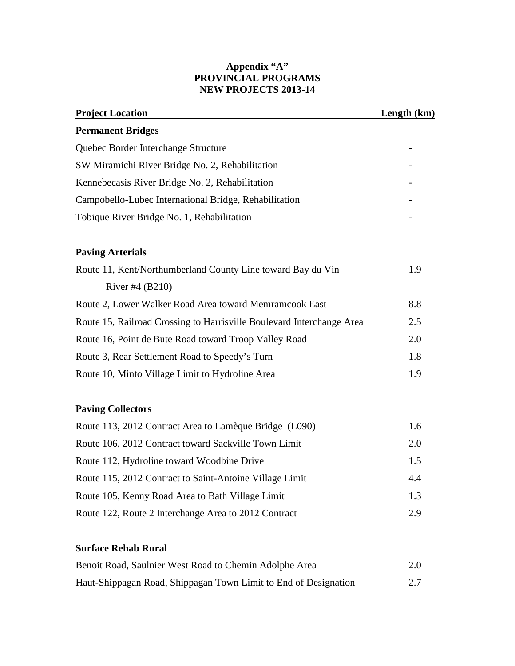## **Appendix "A" PROVINCIAL PROGRAMS NEW PROJECTS 2013-14**

| <b>Project Location</b>                                               | <b>Length (km)</b> |
|-----------------------------------------------------------------------|--------------------|
| <b>Permanent Bridges</b>                                              |                    |
| Quebec Border Interchange Structure                                   |                    |
| SW Miramichi River Bridge No. 2, Rehabilitation                       |                    |
| Kennebecasis River Bridge No. 2, Rehabilitation                       |                    |
| Campobello-Lubec International Bridge, Rehabilitation                 |                    |
| Tobique River Bridge No. 1, Rehabilitation                            |                    |
| <b>Paving Arterials</b>                                               |                    |
| Route 11, Kent/Northumberland County Line toward Bay du Vin           | 1.9                |
| River #4 (B210)                                                       |                    |
| Route 2, Lower Walker Road Area toward Memramcook East                | 8.8                |
| Route 15, Railroad Crossing to Harrisville Boulevard Interchange Area | 2.5                |
| Route 16, Point de Bute Road toward Troop Valley Road                 | 2.0                |
| Route 3, Rear Settlement Road to Speedy's Turn                        | 1.8                |
| Route 10, Minto Village Limit to Hydroline Area                       | 1.9                |
| <b>Paving Collectors</b>                                              |                    |
| Route 113, 2012 Contract Area to Lamèque Bridge (L090)                | 1.6                |
| Route 106, 2012 Contract toward Sackville Town Limit                  | 2.0                |
| Route 112, Hydroline toward Woodbine Drive                            | 1.5                |
| Route 115, 2012 Contract to Saint-Antoine Village Limit               | 4.4                |
| Route 105, Kenny Road Area to Bath Village Limit                      | 1.3                |
| Route 122, Route 2 Interchange Area to 2012 Contract                  | 2.9                |

## **Surface Rehab Rural**

| Benoit Road, Saulnier West Road to Chemin Adolphe Area          | 2.0 |
|-----------------------------------------------------------------|-----|
| Haut-Shippagan Road, Shippagan Town Limit to End of Designation | 2.7 |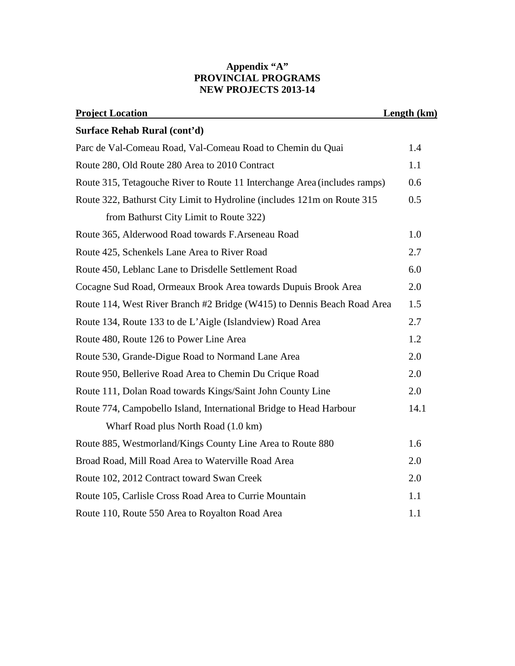## **Appendix "A" PROVINCIAL PROGRAMS NEW PROJECTS 2013-14**

| <b>Project Location</b>                                                   | Length (km) |
|---------------------------------------------------------------------------|-------------|
| Surface Rehab Rural (cont'd)                                              |             |
| Parc de Val-Comeau Road, Val-Comeau Road to Chemin du Quai                | 1.4         |
| Route 280, Old Route 280 Area to 2010 Contract                            | 1.1         |
| Route 315, Tetagouche River to Route 11 Interchange Area (includes ramps) | 0.6         |
| Route 322, Bathurst City Limit to Hydroline (includes 121m on Route 315   | 0.5         |
| from Bathurst City Limit to Route 322)                                    |             |
| Route 365, Alderwood Road towards F.Arseneau Road                         | 1.0         |
| Route 425, Schenkels Lane Area to River Road                              | 2.7         |
| Route 450, Leblanc Lane to Drisdelle Settlement Road                      | 6.0         |
| Cocagne Sud Road, Ormeaux Brook Area towards Dupuis Brook Area            | 2.0         |
| Route 114, West River Branch #2 Bridge (W415) to Dennis Beach Road Area   | 1.5         |
| Route 134, Route 133 to de L'Aigle (Islandview) Road Area                 | 2.7         |
| Route 480, Route 126 to Power Line Area                                   | 1.2         |
| Route 530, Grande-Digue Road to Normand Lane Area                         | 2.0         |
| Route 950, Bellerive Road Area to Chemin Du Crique Road                   | 2.0         |
| Route 111, Dolan Road towards Kings/Saint John County Line                | 2.0         |
| Route 774, Campobello Island, International Bridge to Head Harbour        | 14.1        |
| Wharf Road plus North Road (1.0 km)                                       |             |
| Route 885, Westmorland/Kings County Line Area to Route 880                | 1.6         |
| Broad Road, Mill Road Area to Waterville Road Area                        | 2.0         |
| Route 102, 2012 Contract toward Swan Creek                                | 2.0         |
| Route 105, Carlisle Cross Road Area to Currie Mountain                    | 1.1         |
| Route 110, Route 550 Area to Royalton Road Area                           | 1.1         |